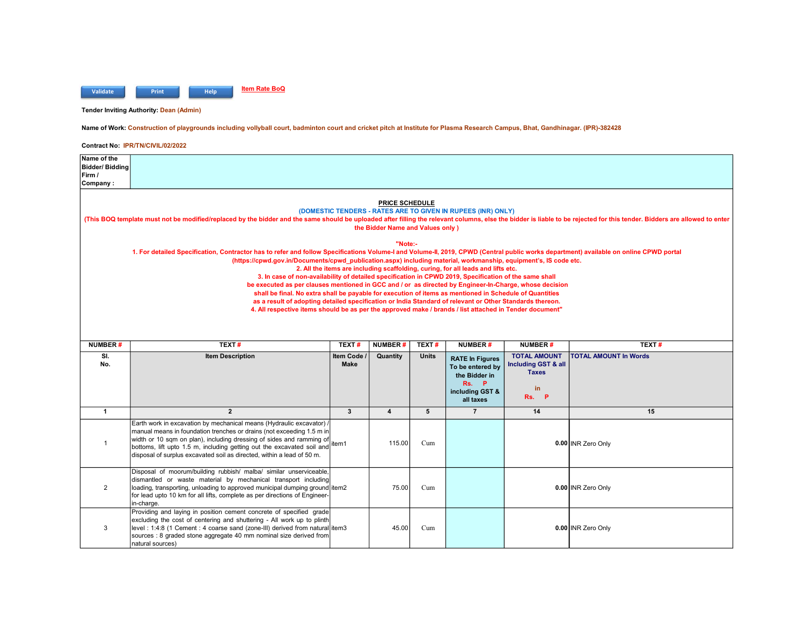

Tender Inviting Authority: Dean (Admin)

## Name of Work: Construction of playgrounds including vollyball court, badminton court and cricket pitch at Institute for Plasma Research Campus, Bhat, Gandhinagar. (IPR)-382428

| Name of the<br>Bidder/ Biddina                                                                                                                                                                                                                                                                                                                                                                                                                                                                                                                                                                                                                                                                                                                                                                                                                                                                                                                                 |                                                                                                                                                                                                                                                                                                                                                                                 |                          |                |              |                                                                                                         |                                                                                            |                              |  |  |
|----------------------------------------------------------------------------------------------------------------------------------------------------------------------------------------------------------------------------------------------------------------------------------------------------------------------------------------------------------------------------------------------------------------------------------------------------------------------------------------------------------------------------------------------------------------------------------------------------------------------------------------------------------------------------------------------------------------------------------------------------------------------------------------------------------------------------------------------------------------------------------------------------------------------------------------------------------------|---------------------------------------------------------------------------------------------------------------------------------------------------------------------------------------------------------------------------------------------------------------------------------------------------------------------------------------------------------------------------------|--------------------------|----------------|--------------|---------------------------------------------------------------------------------------------------------|--------------------------------------------------------------------------------------------|------------------------------|--|--|
| Firm /<br>Company:                                                                                                                                                                                                                                                                                                                                                                                                                                                                                                                                                                                                                                                                                                                                                                                                                                                                                                                                             |                                                                                                                                                                                                                                                                                                                                                                                 |                          |                |              |                                                                                                         |                                                                                            |                              |  |  |
| <b>PRICE SCHEDULE</b><br>(DOMESTIC TENDERS - RATES ARE TO GIVEN IN RUPEES (INR) ONLY)<br>(This BOQ template must not be modified/replaced by the bidder and the same should be uploaded after filling the relevant columns, else the bidder is liable to be rejected for this tender. Bidders are allowed to enter<br>the Bidder Name and Values only)                                                                                                                                                                                                                                                                                                                                                                                                                                                                                                                                                                                                         |                                                                                                                                                                                                                                                                                                                                                                                 |                          |                |              |                                                                                                         |                                                                                            |                              |  |  |
| "Note:-<br>1. For detailed Specification, Contractor has to refer and follow Specifications Volume-I and Volume-II, 2019, CPWD (Central public works department) available on online CPWD portal<br>(https://cpwd.gov.in/Documents/cpwd_publication.aspx) including material, workmanship, equipment's, IS code etc.<br>2. All the items are including scaffolding, curing, for all leads and lifts etc.<br>3. In case of non-availability of detailed specification in CPWD 2019, Specification of the same shall<br>be executed as per clauses mentioned in GCC and / or as directed by Engineer-In-Charge, whose decision<br>shall be final. No extra shall be payable for execution of items as mentioned in Schedule of Quantities<br>as a result of adopting detailed specification or India Standard of relevant or Other Standards thereon.<br>4. All respective items should be as per the approved make / brands / list attached in Tender document" |                                                                                                                                                                                                                                                                                                                                                                                 |                          |                |              |                                                                                                         |                                                                                            |                              |  |  |
| <b>NUMBER#</b>                                                                                                                                                                                                                                                                                                                                                                                                                                                                                                                                                                                                                                                                                                                                                                                                                                                                                                                                                 | TEXT#                                                                                                                                                                                                                                                                                                                                                                           | TEXT#                    | <b>NUMBER#</b> | TEXT#        | <b>NUMBER#</b>                                                                                          | <b>NUMBER#</b>                                                                             | TEXT#                        |  |  |
| SI.<br>No.                                                                                                                                                                                                                                                                                                                                                                                                                                                                                                                                                                                                                                                                                                                                                                                                                                                                                                                                                     | <b>Item Description</b>                                                                                                                                                                                                                                                                                                                                                         | Item Code<br><b>Make</b> | Quantity       | <b>Units</b> | <b>RATE In Figures</b><br>To be entered by<br>the Bidder in<br>Rs.<br>P<br>including GST &<br>all taxes | <b>TOTAL AMOUNT</b><br><b>Including GST &amp; all</b><br><b>Taxes</b><br>in.<br>- P<br>Rs. | <b>TOTAL AMOUNT In Words</b> |  |  |
| $\mathbf{1}$                                                                                                                                                                                                                                                                                                                                                                                                                                                                                                                                                                                                                                                                                                                                                                                                                                                                                                                                                   | $\overline{2}$                                                                                                                                                                                                                                                                                                                                                                  | $\mathbf{3}$             | 4              | 5            | $\overline{7}$                                                                                          | 14                                                                                         | 15                           |  |  |
| $\mathbf{1}$                                                                                                                                                                                                                                                                                                                                                                                                                                                                                                                                                                                                                                                                                                                                                                                                                                                                                                                                                   | Earth work in excavation by mechanical means (Hydraulic excavator) /<br>manual means in foundation trenches or drains (not exceeding 1.5 m in<br>width or 10 sqm on plan), including dressing of sides and ramming of<br>bottoms, lift upto 1.5 m, including getting out the excavated soil and item1<br>disposal of surplus excavated soil as directed, within a lead of 50 m. |                          | 115.00         | Cum          |                                                                                                         |                                                                                            | 0.00 INR Zero Only           |  |  |
| $\overline{2}$                                                                                                                                                                                                                                                                                                                                                                                                                                                                                                                                                                                                                                                                                                                                                                                                                                                                                                                                                 | Disposal of moorum/building rubbish/ malba/ similar unserviceable,<br>dismantled or waste material by mechanical transport including<br>loading, transporting, unloading to approved municipal dumping ground item2<br>for lead upto 10 km for all lifts, complete as per directions of Engineer-<br>in-charge.                                                                 |                          | 75.00          | Cum          |                                                                                                         |                                                                                            | 0.00 INR Zero Only           |  |  |
| 3                                                                                                                                                                                                                                                                                                                                                                                                                                                                                                                                                                                                                                                                                                                                                                                                                                                                                                                                                              | Providing and laying in position cement concrete of specified grade<br>excluding the cost of centering and shuttering - All work up to plinth<br>level: 1:4:8 (1 Cement: 4 coarse sand (zone-III) derived from natural item3<br>sources : 8 graded stone aggregate 40 mm nominal size derived from<br>natural sources)                                                          |                          | 45.00          | Cum          |                                                                                                         |                                                                                            | 0.00 INR Zero Only           |  |  |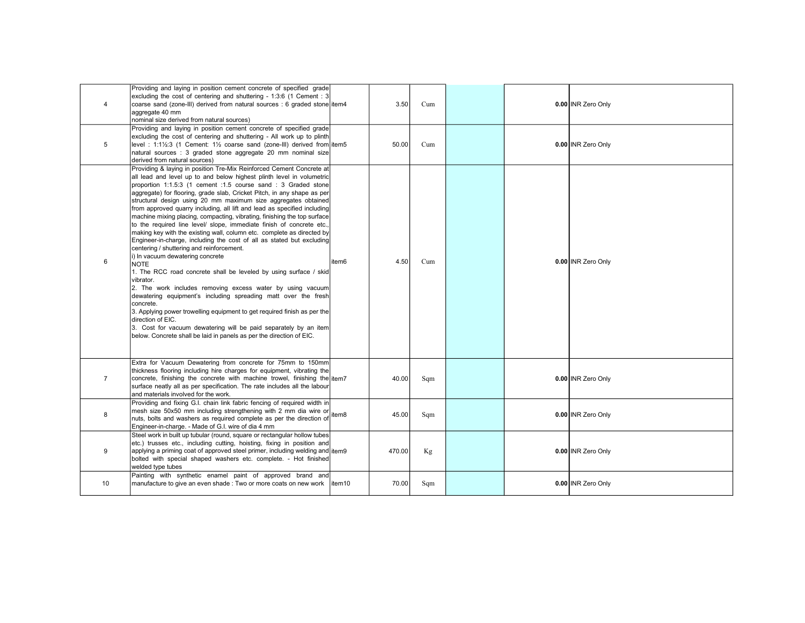| 4              | Providing and laying in position cement concrete of specified grade<br>excluding the cost of centering and shuttering - 1:3:6 (1 Cement : 3<br>coarse sand (zone-III) derived from natural sources : 6 graded stone item4<br>aggregate 40 mm<br>nominal size derived from natural sources)                                                                                                                                                                                                                                                                                                                                                                                                                                                                                                                                                                                                                                                                                                                                                                                                                                                                                                                                                                                                                                   |        | 3.50   | Cum |  | 0.00 INR Zero Only |
|----------------|------------------------------------------------------------------------------------------------------------------------------------------------------------------------------------------------------------------------------------------------------------------------------------------------------------------------------------------------------------------------------------------------------------------------------------------------------------------------------------------------------------------------------------------------------------------------------------------------------------------------------------------------------------------------------------------------------------------------------------------------------------------------------------------------------------------------------------------------------------------------------------------------------------------------------------------------------------------------------------------------------------------------------------------------------------------------------------------------------------------------------------------------------------------------------------------------------------------------------------------------------------------------------------------------------------------------------|--------|--------|-----|--|--------------------|
| 5              | Providing and laying in position cement concrete of specified grade<br>excluding the cost of centering and shuttering - All work up to plinth<br>level: 1:1½:3 (1 Cement: 1½ coarse sand (zone-III) derived from litem5<br>natural sources : 3 graded stone aggregate 20 mm nominal size<br>derived from natural sources)                                                                                                                                                                                                                                                                                                                                                                                                                                                                                                                                                                                                                                                                                                                                                                                                                                                                                                                                                                                                    |        | 50.00  | Cum |  | 0.00 INR Zero Only |
| 6              | Providing & laying in position Tre-Mix Reinforced Cement Concrete at<br>all lead and level up to and below highest plinth level in volumetric<br>proportion 1:1.5:3 (1 cement :1.5 course sand : 3 Graded stone<br>aggregate) for flooring, grade slab, Cricket Pitch, in any shape as per<br>structural design using 20 mm maximum size aggregates obtained<br>from approved quarry including, all lift and lead as specified including<br>machine mixing placing, compacting, vibrating, finishing the top surface<br>to the required line level/ slope, immediate finish of concrete etc.,<br>making key with the existing wall, column etc. complete as directed by<br>Engineer-in-charge, including the cost of all as stated but excluding<br>centering / shuttering and reinforcement.<br>i) In vacuum dewatering concrete<br><b>NOTE</b><br>1. The RCC road concrete shall be leveled by using surface / skid<br>vibrator.<br>2. The work includes removing excess water by using vacuum<br>dewatering equipment's including spreading matt over the fresh<br>concrete.<br>3. Applying power trowelling equipment to get required finish as per the<br>direction of EIC.<br>3. Cost for vacuum dewatering will be paid separately by an item<br>below. Concrete shall be laid in panels as per the direction of EIC. | litem6 | 4.50   | Cum |  | 0.00 INR Zero Only |
| $\overline{7}$ | Extra for Vacuum Dewatering from concrete for 75mm to 150mm<br>thickness flooring including hire charges for equipment, vibrating the<br>concrete, finishing the concrete with machine trowel, finishing the litem7<br>surface neatly all as per specification. The rate includes all the labour<br>and materials involved for the work.                                                                                                                                                                                                                                                                                                                                                                                                                                                                                                                                                                                                                                                                                                                                                                                                                                                                                                                                                                                     |        | 40.00  | Sqm |  | 0.00 INR Zero Only |
| 8              | Providing and fixing G.I. chain link fabric fencing of required width in<br>mesh size 50x50 mm including strengthening with 2 mm dia wire or<br>nuts, bolts and washers as required complete as per the direction of $\frac{1}{2}$ items<br>Engineer-in-charge. - Made of G.I. wire of dia 4 mm                                                                                                                                                                                                                                                                                                                                                                                                                                                                                                                                                                                                                                                                                                                                                                                                                                                                                                                                                                                                                              |        | 45.00  | Sqm |  | 0.00 INR Zero Only |
| 9              | Steel work in built up tubular (round, square or rectangular hollow tubes<br>etc.) trusses etc., including cutting, hoisting, fixing in position and<br>applying a priming coat of approved steel primer, including welding and item9<br>bolted with special shaped washers etc. complete. - Hot finished<br>welded type tubes                                                                                                                                                                                                                                                                                                                                                                                                                                                                                                                                                                                                                                                                                                                                                                                                                                                                                                                                                                                               |        | 470.00 | Kg  |  | 0.00 INR Zero Only |
| 10             | Painting with synthetic enamel paint of approved brand and<br>manufacture to give an even shade : Two or more coats on new work litem10                                                                                                                                                                                                                                                                                                                                                                                                                                                                                                                                                                                                                                                                                                                                                                                                                                                                                                                                                                                                                                                                                                                                                                                      |        | 70.00  | Sqm |  | 0.00 INR Zero Only |